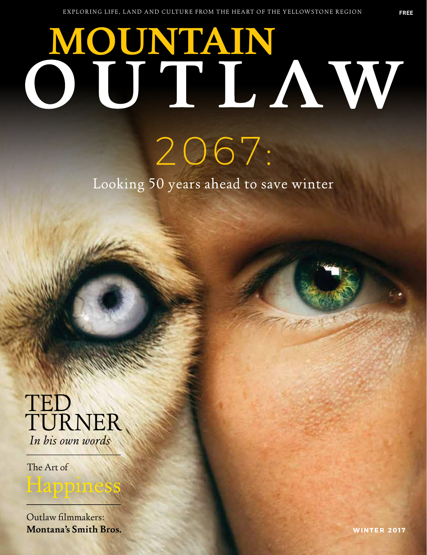## **MOUNTAIN AW**

2067.

Looking 50 years ahead to save winter

## TED TURNER *In his own words*

The Art of

Outlaw filmmakers: **Montana's Smith Bros.**

Happine: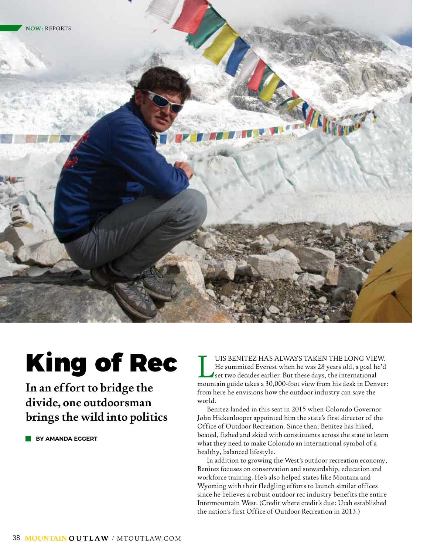

## King of Rec

**In an effort to bridge the divide, one outdoorsman brings the wild into politics**

 **BY AMANDA EGGERT**

UIS BENITEZ HAS ALWAYS TAKEN THE LONG VIEW.<br>He summited Everest when he was 28 years old, a goal he'd<br>set two decades earlier. But these days, the international<br>mountain guide takes a 30.000-foot view from his desk in Denv He summited Everest when he was 28 years old, a goal he'd set two decades earlier. But these days, the international mountain guide takes a 30,000-foot view from his desk in Denver: from here he envisions how the outdoor industry can save the world.

Benitez landed in this seat in 2015 when Colorado Governor John Hickenlooper appointed him the state's first director of the Office of Outdoor Recreation. Since then, Benitez has hiked, boated, fished and skied with constituents across the state to learn what they need to make Colorado an international symbol of a healthy, balanced lifestyle.

In addition to growing the West's outdoor recreation economy, Benitez focuses on conservation and stewardship, education and workforce training. He's also helped states like Montana and Wyoming with their fledgling efforts to launch similar offices since he believes a robust outdoor rec industry benefits the entire Intermountain West. (Credit where credit's due: Utah established the nation's first Office of Outdoor Recreation in 2013.)